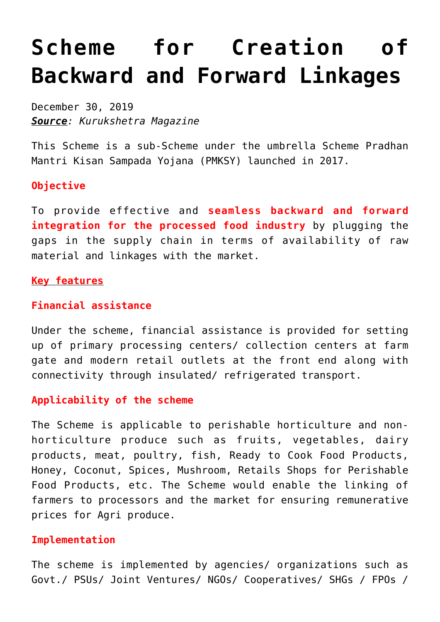# **[Scheme for Creation of](https://journalsofindia.com/scheme-for-creation-of-backward-and-forward-linkages/) [Backward and Forward Linkages](https://journalsofindia.com/scheme-for-creation-of-backward-and-forward-linkages/)**

December 30, 2019 *Source: Kurukshetra Magazine*

This Scheme is a sub-Scheme under the umbrella Scheme Pradhan Mantri Kisan Sampada Yojana (PMKSY) launched in 2017.

# **Objective**

To provide effective and **seamless backward and forward integration for the processed food industry** by plugging the gaps in the supply chain in terms of availability of raw material and linkages with the market.

## **Key features**

# **Financial assistance**

Under the scheme, financial assistance is provided for setting up of primary processing centers/ collection centers at farm gate and modern retail outlets at the front end along with connectivity through insulated/ refrigerated transport.

### **Applicability of the scheme**

The Scheme is applicable to perishable horticulture and nonhorticulture produce such as fruits, vegetables, dairy products, meat, poultry, fish, Ready to Cook Food Products, Honey, Coconut, Spices, Mushroom, Retails Shops for Perishable Food Products, etc. The Scheme would enable the linking of farmers to processors and the market for ensuring remunerative prices for Agri produce.

### **Implementation**

The scheme is implemented by agencies/ organizations such as Govt./ PSUs/ Joint Ventures/ NGOs/ Cooperatives/ SHGs / FPOs /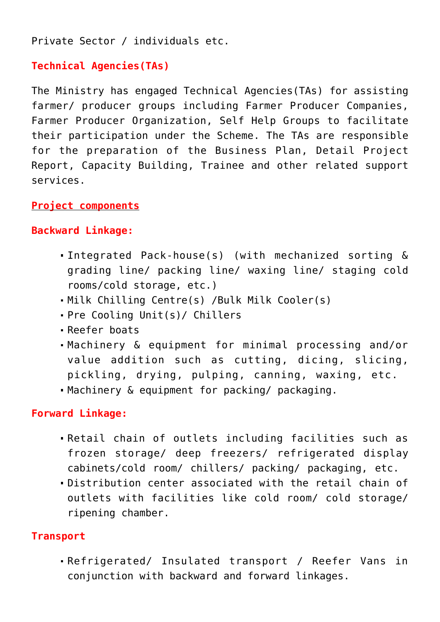Private Sector / individuals etc.

# **Technical Agencies(TAs)**

The Ministry has engaged Technical Agencies(TAs) for assisting farmer/ producer groups including Farmer Producer Companies, Farmer Producer Organization, Self Help Groups to facilitate their participation under the Scheme. The TAs are responsible for the preparation of the Business Plan, Detail Project Report, Capacity Building, Trainee and other related support services.

# **Project components**

# **Backward Linkage:**

- Integrated Pack-house(s) (with mechanized sorting & grading line/ packing line/ waxing line/ staging cold rooms/cold storage, etc.)
- Milk Chilling Centre(s) /Bulk Milk Cooler(s)
- Pre Cooling Unit(s)/ Chillers
- Reefer boats
- Machinery & equipment for minimal processing and/or value addition such as cutting, dicing, slicing, pickling, drying, pulping, canning, waxing, etc.
- Machinery & equipment for packing/ packaging.

# **Forward Linkage:**

- Retail chain of outlets including facilities such as frozen storage/ deep freezers/ refrigerated display cabinets/cold room/ chillers/ packing/ packaging, etc.
- Distribution center associated with the retail chain of outlets with facilities like cold room/ cold storage/ ripening chamber.

## **Transport**

Refrigerated/ Insulated transport / Reefer Vans in conjunction with backward and forward linkages.